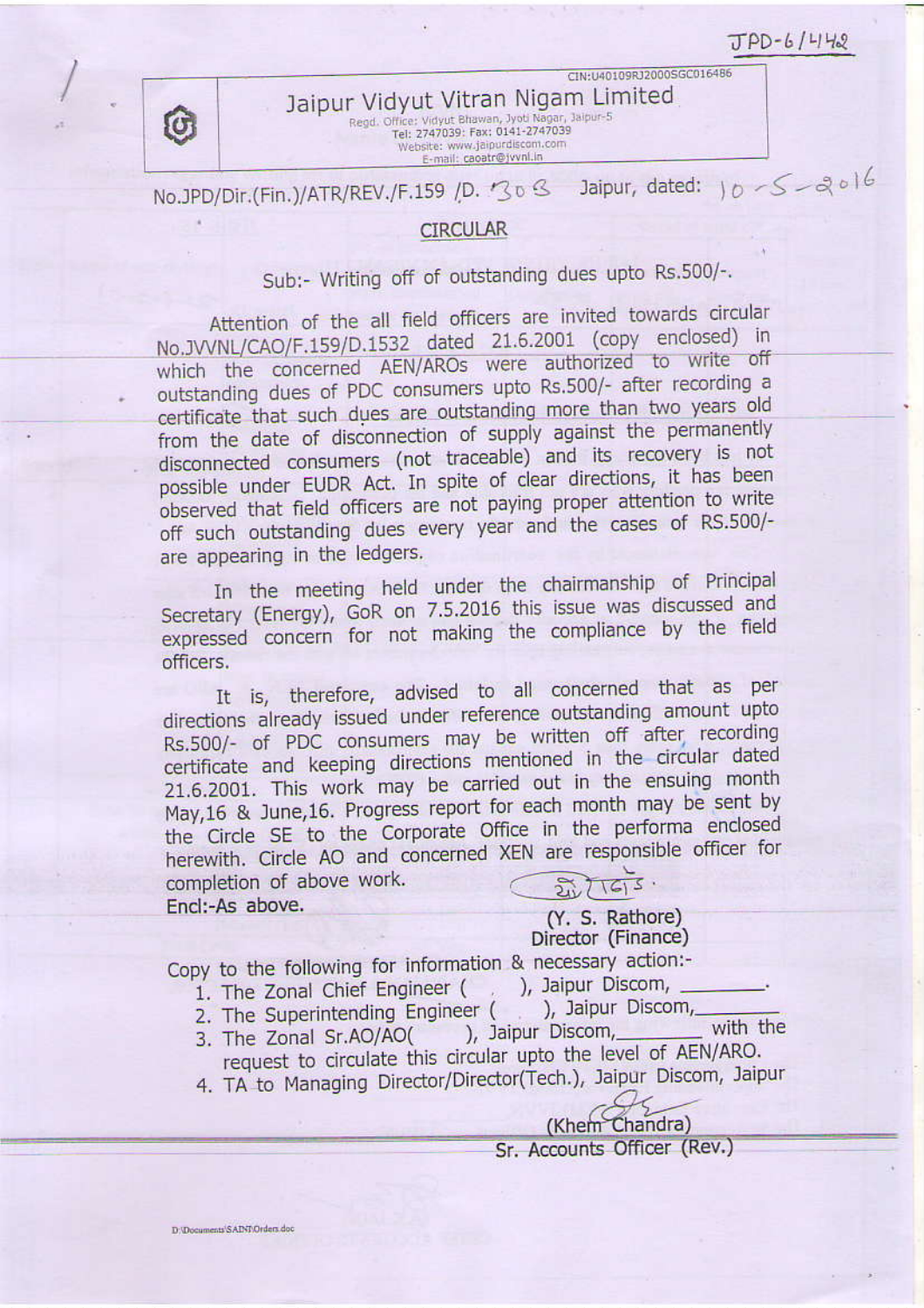$TPD-6/442$ 

CIN:U40109RJ2000SGC016486



Jaipur Vidyut Vitran Nigam Limited Regd. Office: Vidyut Bhawan, Jyoti Nagar, Jaipur-5<br>Tel: 2747039: Fax: 0141-2747039 Website: www.jaipurdiscom.com E-mail: caoatr@jvvnl.in

#### Jaipur, dated:  $10 - 5 - 2006$ No.JPD/Dir.(Fin.)/ATR/REV./F.159 /D. 308

#### **CIRCULAR**

# Sub:- Writing off of outstanding dues upto Rs.500/-.

Attention of the all field officers are invited towards circular No.JVVNL/CAO/F.159/D.1532 dated 21.6.2001 (copy enclosed) in which the concerned AEN/AROs were authorized to write off outstanding dues of PDC consumers upto Rs.500/- after recording a certificate that such dues are outstanding more than two years old from the date of disconnection of supply against the permanently disconnected consumers (not traceable) and its recovery is not possible under EUDR Act. In spite of clear directions, it has been observed that field officers are not paying proper attention to write off such outstanding dues every year and the cases of RS.500/are appearing in the ledgers.

In the meeting held under the chairmanship of Principal Secretary (Energy), GoR on 7.5.2016 this issue was discussed and expressed concern for not making the compliance by the field officers.

It is, therefore, advised to all concerned that as per directions already issued under reference outstanding amount upto Rs.500/- of PDC consumers may be written off after recording certificate and keeping directions mentioned in the circular dated 21.6.2001. This work may be carried out in the ensuing month May, 16 & June, 16. Progress report for each month may be sent by the Circle SE to the Corporate Office in the performa enclosed herewith. Circle AO and concerned XEN are responsible officer for completion of above work. Encl:-As above.

(Y. S. Rathore) Director (Finance)

Copy to the following for information & necessary action:-

1. The Zonal Chief Engineer (

. ), Jaipur Discom,

- ), Jaipur Discom, 2. The Superintending Engineer (
- ), Jaipur Discom, with the 3. The Zonal Sr.AO/AO( request to circulate this circular upto the level of AEN/ARO.
- 4. TA to Managing Director/Director(Tech.), Jaipur Discom, Jaipur

(Khem Chandra) Sr. Accounts Officer (Rev.)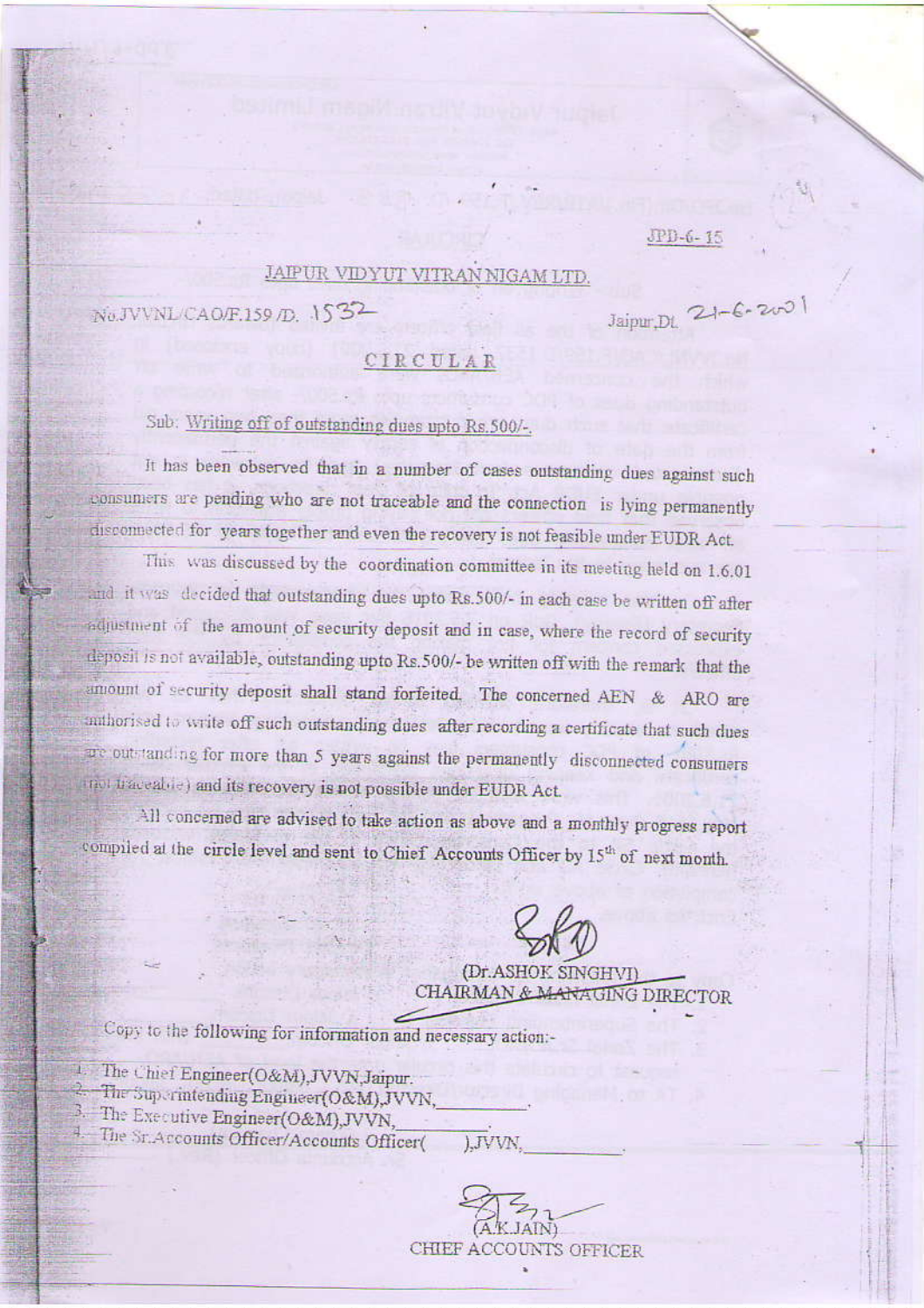$JPI-6-75$ 

#### JAIPUR VIDYUT VITRAN NIGAM LTD

 $N<sub>0</sub>$ JVVNL/CAO/F.159 /D. 1532

 $Jajpur.D1$  21-6-200

#### CIRCULAR

### Sub: Writing off of outstanding dues upto Rs.500/-.

It has been observed that in a number of cases outstanding dues against such consumers are pending who are not traceable and the connection is lying permanently disconnected for years together and even the recovery is not feasible under EUDR Act.

This was discussed by the coordination committee in its meeting held on 1.6.01 and it was decided that outstanding dues upto Rs.500/- in each case be written off after adjustment of the amount of security deposit and in case, where the record of security deposit is not available, outstanding upto Rs.500/- be written off with the remark that the amount of security deposit shall stand forfeited. The concerned AEN & ARO are multionised to write off such outstanding dues after recording a certificate that such dues we outstanding for more than 5 years against the permanently disconnected consumers mot traceable) and its recovery is not possible under EUDR Act.

All concerned are advised to take action as above and a monthly progress report compiled at the circle level and sent to Chief Accounts Officer by 15th of next month.

(Dr. ASHOK SINGHVI) CHAIRMAN & MARAGING DIRECTOR

Copy to the following for information and necessary action:-

- 1. The Chief Engineer(O&M), JVVN, Jaipur.
	- The Superintending Engineer(O&M),JVVN,
- 3. The Executive Engineer(O&M),JVVN,
- 4. The Sr. Accounts Officer/Accounts Officer( ).JVVN.

CHIEF ACCOUNTS OFFICER